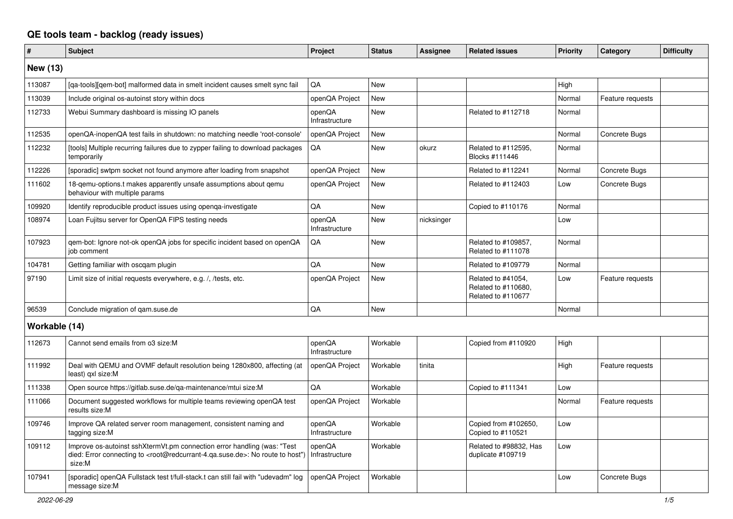## **QE tools team - backlog (ready issues)**

| #               | <b>Subject</b>                                                                                                                                                                                    | Project                  | <b>Status</b> | <b>Assignee</b> | <b>Related issues</b>                                           | Priority | Category         | <b>Difficulty</b> |
|-----------------|---------------------------------------------------------------------------------------------------------------------------------------------------------------------------------------------------|--------------------------|---------------|-----------------|-----------------------------------------------------------------|----------|------------------|-------------------|
| <b>New (13)</b> |                                                                                                                                                                                                   |                          |               |                 |                                                                 |          |                  |                   |
| 113087          | [ga-tools][gem-bot] malformed data in smelt incident causes smelt sync fail                                                                                                                       | QA                       | <b>New</b>    |                 |                                                                 | High     |                  |                   |
| 113039          | Include original os-autoinst story within docs                                                                                                                                                    | openQA Project           | <b>New</b>    |                 |                                                                 | Normal   | Feature requests |                   |
| 112733          | Webui Summary dashboard is missing IO panels                                                                                                                                                      | openQA<br>Infrastructure | <b>New</b>    |                 | Related to #112718                                              | Normal   |                  |                   |
| 112535          | openQA-inopenQA test fails in shutdown: no matching needle 'root-console'                                                                                                                         | openQA Project           | <b>New</b>    |                 |                                                                 | Normal   | Concrete Bugs    |                   |
| 112232          | [tools] Multiple recurring failures due to zypper failing to download packages<br>temporarily                                                                                                     | QA                       | <b>New</b>    | okurz           | Related to #112595,<br>Blocks #111446                           | Normal   |                  |                   |
| 112226          | [sporadic] swtpm socket not found anymore after loading from snapshot                                                                                                                             | openQA Project           | <b>New</b>    |                 | Related to #112241                                              | Normal   | Concrete Bugs    |                   |
| 111602          | 18-qemu-options.t makes apparently unsafe assumptions about qemu<br>behaviour with multiple params                                                                                                | openQA Project           | <b>New</b>    |                 | Related to #112403                                              | Low      | Concrete Bugs    |                   |
| 109920          | Identify reproducible product issues using openga-investigate                                                                                                                                     | QA                       | New           |                 | Copied to #110176                                               | Normal   |                  |                   |
| 108974          | Loan Fujitsu server for OpenQA FIPS testing needs                                                                                                                                                 | openQA<br>Infrastructure | <b>New</b>    | nicksinger      |                                                                 | Low      |                  |                   |
| 107923          | qem-bot: Ignore not-ok openQA jobs for specific incident based on openQA<br>job comment                                                                                                           | QA                       | <b>New</b>    |                 | Related to #109857.<br>Related to #111078                       | Normal   |                  |                   |
| 104781          | Getting familiar with oscgam plugin                                                                                                                                                               | QA                       | <b>New</b>    |                 | Related to #109779                                              | Normal   |                  |                   |
| 97190           | Limit size of initial requests everywhere, e.g. /, /tests, etc.                                                                                                                                   | openQA Project           | <b>New</b>    |                 | Related to #41054,<br>Related to #110680,<br>Related to #110677 | Low      | Feature requests |                   |
| 96539           | Conclude migration of gam.suse.de                                                                                                                                                                 | QA                       | <b>New</b>    |                 |                                                                 | Normal   |                  |                   |
| Workable (14)   |                                                                                                                                                                                                   |                          |               |                 |                                                                 |          |                  |                   |
| 112673          | Cannot send emails from o3 size:M                                                                                                                                                                 | openQA<br>Infrastructure | Workable      |                 | Copied from #110920                                             | High     |                  |                   |
| 111992          | Deal with QEMU and OVMF default resolution being 1280x800, affecting (at<br>least) gxl size:M                                                                                                     | openQA Project           | Workable      | tinita          |                                                                 | High     | Feature requests |                   |
| 111338          | Open source https://gitlab.suse.de/qa-maintenance/mtui size:M                                                                                                                                     | QA                       | Workable      |                 | Copied to #111341                                               | Low      |                  |                   |
| 111066          | Document suggested workflows for multiple teams reviewing openQA test<br>results size:M                                                                                                           | openQA Project           | Workable      |                 |                                                                 | Normal   | Feature requests |                   |
| 109746          | Improve QA related server room management, consistent naming and<br>tagging size:M                                                                                                                | openQA<br>Infrastructure | Workable      |                 | Copied from #102650,<br>Copied to #110521                       | Low      |                  |                   |
| 109112          | Improve os-autoinst sshXtermVt.pm connection error handling (was: "Test<br>died: Error connecting to <root@redcurrant-4.ga.suse.de>: No route to host")<br/>size:M</root@redcurrant-4.ga.suse.de> | openQA<br>Infrastructure | Workable      |                 | Related to #98832, Has<br>duplicate #109719                     | Low      |                  |                   |
| 107941          | [sporadic] openQA Fullstack test t/full-stack.t can still fail with "udevadm" log<br>message size:M                                                                                               | openQA Project           | Workable      |                 |                                                                 | Low      | Concrete Bugs    |                   |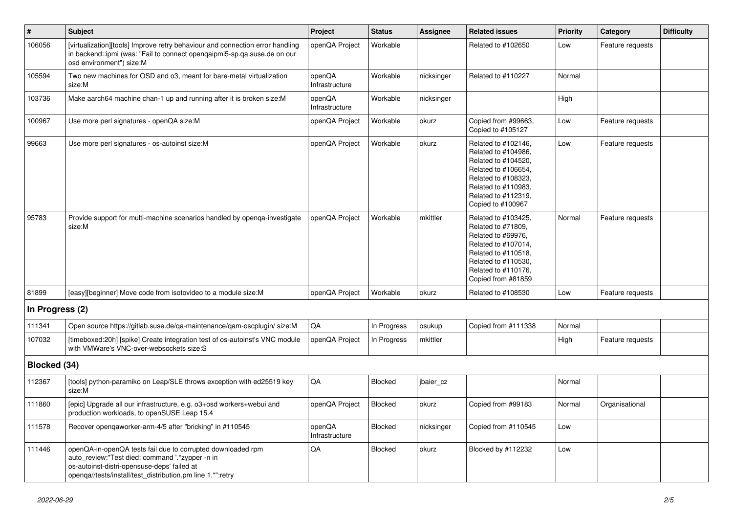| #               | Subject                                                                                                                                                                                                                     | Project                  | <b>Status</b> | <b>Assignee</b> | <b>Related issues</b>                                                                                                                                                              | <b>Priority</b> | Category         | <b>Difficulty</b> |
|-----------------|-----------------------------------------------------------------------------------------------------------------------------------------------------------------------------------------------------------------------------|--------------------------|---------------|-----------------|------------------------------------------------------------------------------------------------------------------------------------------------------------------------------------|-----------------|------------------|-------------------|
| 106056          | [virtualization][tools] Improve retry behaviour and connection error handling<br>in backend::ipmi (was: "Fail to connect opengaipmi5-sp.ga.suse.de on our<br>osd environment") size:M                                       | openQA Project           | Workable      |                 | Related to #102650                                                                                                                                                                 | Low             | Feature requests |                   |
| 105594          | Two new machines for OSD and o3, meant for bare-metal virtualization<br>size:M                                                                                                                                              | openQA<br>Infrastructure | Workable      | nicksinger      | Related to #110227                                                                                                                                                                 | Normal          |                  |                   |
| 103736          | Make aarch64 machine chan-1 up and running after it is broken size:M                                                                                                                                                        | openQA<br>Infrastructure | Workable      | nicksinger      |                                                                                                                                                                                    | High            |                  |                   |
| 100967          | Use more perl signatures - openQA size:M                                                                                                                                                                                    | openQA Project           | Workable      | okurz           | Copied from #99663,<br>Copied to #105127                                                                                                                                           | Low             | Feature requests |                   |
| 99663           | Use more perl signatures - os-autoinst size:M                                                                                                                                                                               | openQA Project           | Workable      | okurz           | Related to #102146,<br>Related to #104986,<br>Related to #104520,<br>Related to #106654,<br>Related to #108323,<br>Related to #110983,<br>Related to #112319,<br>Copied to #100967 | Low             | Feature requests |                   |
| 95783           | Provide support for multi-machine scenarios handled by openqa-investigate<br>size:M                                                                                                                                         | openQA Project           | Workable      | mkittler        | Related to #103425,<br>Related to #71809.<br>Related to #69976,<br>Related to #107014,<br>Related to #110518,<br>Related to #110530,<br>Related to #110176,<br>Copied from #81859  | Normal          | Feature requests |                   |
| 81899           | [easy][beginner] Move code from isotovideo to a module size:M                                                                                                                                                               | openQA Project           | Workable      | okurz           | Related to #108530                                                                                                                                                                 | Low             | Feature requests |                   |
| In Progress (2) |                                                                                                                                                                                                                             |                          |               |                 |                                                                                                                                                                                    |                 |                  |                   |
| 111341          | Open source https://gitlab.suse.de/qa-maintenance/qam-oscplugin/ size:M                                                                                                                                                     | <b>QA</b>                | In Progress   | osukup          | Copied from #111338                                                                                                                                                                | Normal          |                  |                   |
| 107032          | [timeboxed:20h] [spike] Create integration test of os-autoinst's VNC module<br>with VMWare's VNC-over-websockets size:S                                                                                                     | openQA Project           | In Progress   | mkittler        |                                                                                                                                                                                    | High            | Feature requests |                   |
| Blocked (34)    |                                                                                                                                                                                                                             |                          |               |                 |                                                                                                                                                                                    |                 |                  |                   |
| 112367          | [tools] python-paramiko on Leap/SLE throws exception with ed25519 key<br>size:M                                                                                                                                             | QA                       | Blocked       | jbaier_cz       |                                                                                                                                                                                    | Normal          |                  |                   |
| 111860          | [epic] Upgrade all our infrastructure, e.g. o3+osd workers+webui and<br>production workloads, to openSUSE Leap 15.4                                                                                                         | openQA Project           | Blocked       | okurz           | Copied from #99183                                                                                                                                                                 | Normal          | Organisational   |                   |
| 111578          | Recover opengaworker-arm-4/5 after "bricking" in #110545                                                                                                                                                                    | openQA<br>Infrastructure | Blocked       | nicksinger      | Copied from #110545                                                                                                                                                                | Low             |                  |                   |
| 111446          | openQA-in-openQA tests fail due to corrupted downloaded rpm<br>auto_review:"Test died: command '.*zypper -n in<br>os-autoinst-distri-opensuse-deps' failed at<br>openqa//tests/install/test_distribution.pm line 1.*":retry | QA                       | Blocked       | okurz           | Blocked by #112232                                                                                                                                                                 | Low             |                  |                   |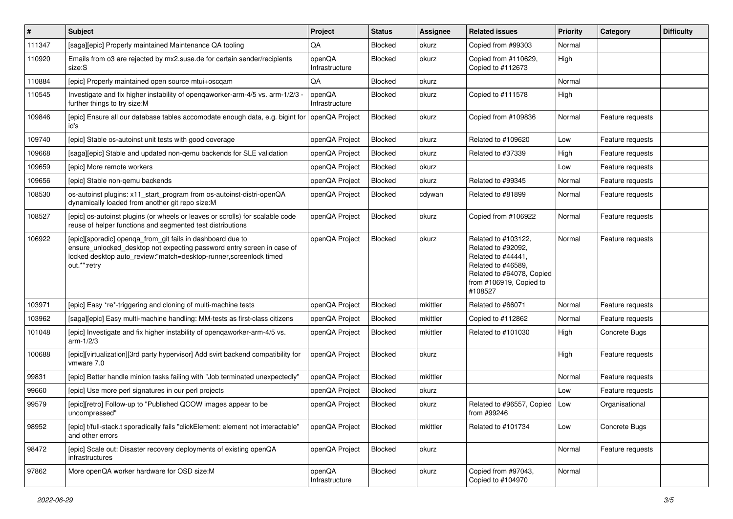| #      | <b>Subject</b>                                                                                                                                                                                                            | Project                  | <b>Status</b>  | Assignee | <b>Related issues</b>                                                                                                                                    | Priority | Category         | <b>Difficulty</b> |
|--------|---------------------------------------------------------------------------------------------------------------------------------------------------------------------------------------------------------------------------|--------------------------|----------------|----------|----------------------------------------------------------------------------------------------------------------------------------------------------------|----------|------------------|-------------------|
| 111347 | [saga][epic] Properly maintained Maintenance QA tooling                                                                                                                                                                   | QA                       | Blocked        | okurz    | Copied from #99303                                                                                                                                       | Normal   |                  |                   |
| 110920 | Emails from o3 are rejected by mx2.suse.de for certain sender/recipients<br>size:S                                                                                                                                        | openQA<br>Infrastructure | Blocked        | okurz    | Copied from #110629,<br>Copied to #112673                                                                                                                | High     |                  |                   |
| 110884 | [epic] Properly maintained open source mtui+oscqam                                                                                                                                                                        | QA                       | <b>Blocked</b> | okurz    |                                                                                                                                                          | Normal   |                  |                   |
| 110545 | Investigate and fix higher instability of opengaworker-arm-4/5 vs. arm-1/2/3<br>further things to try size:M                                                                                                              | openQA<br>Infrastructure | Blocked        | okurz    | Copied to #111578                                                                                                                                        | High     |                  |                   |
| 109846 | [epic] Ensure all our database tables accomodate enough data, e.g. bigint for openQA Project<br>id's                                                                                                                      |                          | Blocked        | okurz    | Copied from #109836                                                                                                                                      | Normal   | Feature requests |                   |
| 109740 | [epic] Stable os-autoinst unit tests with good coverage                                                                                                                                                                   | openQA Project           | Blocked        | okurz    | Related to #109620                                                                                                                                       | Low      | Feature requests |                   |
| 109668 | [saga][epic] Stable and updated non-qemu backends for SLE validation                                                                                                                                                      | openQA Project           | <b>Blocked</b> | okurz    | Related to #37339                                                                                                                                        | High     | Feature requests |                   |
| 109659 | [epic] More remote workers                                                                                                                                                                                                | openQA Project           | Blocked        | okurz    |                                                                                                                                                          | Low      | Feature requests |                   |
| 109656 | [epic] Stable non-gemu backends                                                                                                                                                                                           | openQA Project           | <b>Blocked</b> | okurz    | Related to #99345                                                                                                                                        | Normal   | Feature requests |                   |
| 108530 | os-autoinst plugins: x11_start_program from os-autoinst-distri-openQA<br>dynamically loaded from another git repo size:M                                                                                                  | openQA Project           | Blocked        | cdywan   | Related to #81899                                                                                                                                        | Normal   | Feature requests |                   |
| 108527 | [epic] os-autoinst plugins (or wheels or leaves or scrolls) for scalable code<br>reuse of helper functions and segmented test distributions                                                                               | openQA Project           | Blocked        | okurz    | Copied from #106922                                                                                                                                      | Normal   | Feature requests |                   |
| 106922 | [epic][sporadic] openga_from_git fails in dashboard due to<br>ensure_unlocked_desktop not expecting password entry screen in case of<br>locked desktop auto_review:"match=desktop-runner,screenlock timed<br>out.*":retry | openQA Project           | Blocked        | okurz    | Related to #103122,<br>Related to #92092,<br>Related to #44441,<br>Related to #46589,<br>Related to #64078, Copied<br>from #106919, Copied to<br>#108527 | Normal   | Feature requests |                   |
| 103971 | [epic] Easy *re*-triggering and cloning of multi-machine tests                                                                                                                                                            | openQA Project           | <b>Blocked</b> | mkittler | Related to #66071                                                                                                                                        | Normal   | Feature requests |                   |
| 103962 | [saga][epic] Easy multi-machine handling: MM-tests as first-class citizens                                                                                                                                                | openQA Project           | Blocked        | mkittler | Copied to #112862                                                                                                                                        | Normal   | Feature requests |                   |
| 101048 | [epic] Investigate and fix higher instability of openqaworker-arm-4/5 vs.<br>arm-1/2/3                                                                                                                                    | openQA Project           | Blocked        | mkittler | Related to #101030                                                                                                                                       | High     | Concrete Bugs    |                   |
| 100688 | [epic][virtualization][3rd party hypervisor] Add svirt backend compatibility for<br>vmware 7.0                                                                                                                            | openQA Project           | Blocked        | okurz    |                                                                                                                                                          | High     | Feature requests |                   |
| 99831  | [epic] Better handle minion tasks failing with "Job terminated unexpectedly"                                                                                                                                              | openQA Project           | <b>Blocked</b> | mkittler |                                                                                                                                                          | Normal   | Feature requests |                   |
| 99660  | [epic] Use more perl signatures in our perl projects                                                                                                                                                                      | openQA Project           | Blocked        | okurz    |                                                                                                                                                          | Low      | Feature requests |                   |
| 99579  | [epic][retro] Follow-up to "Published QCOW images appear to be<br>uncompressed"                                                                                                                                           | openQA Project           | Blocked        | okurz    | Related to #96557, Copied<br>from #99246                                                                                                                 | Low      | Organisational   |                   |
| 98952  | [epic] t/full-stack.t sporadically fails "clickElement: element not interactable"<br>and other errors                                                                                                                     | openQA Project           | Blocked        | mkittler | Related to #101734                                                                                                                                       | Low      | Concrete Bugs    |                   |
| 98472  | [epic] Scale out: Disaster recovery deployments of existing openQA<br>infrastructures                                                                                                                                     | openQA Project           | Blocked        | okurz    |                                                                                                                                                          | Normal   | Feature requests |                   |
| 97862  | More openQA worker hardware for OSD size:M                                                                                                                                                                                | openQA<br>Infrastructure | Blocked        | okurz    | Copied from #97043,<br>Copied to #104970                                                                                                                 | Normal   |                  |                   |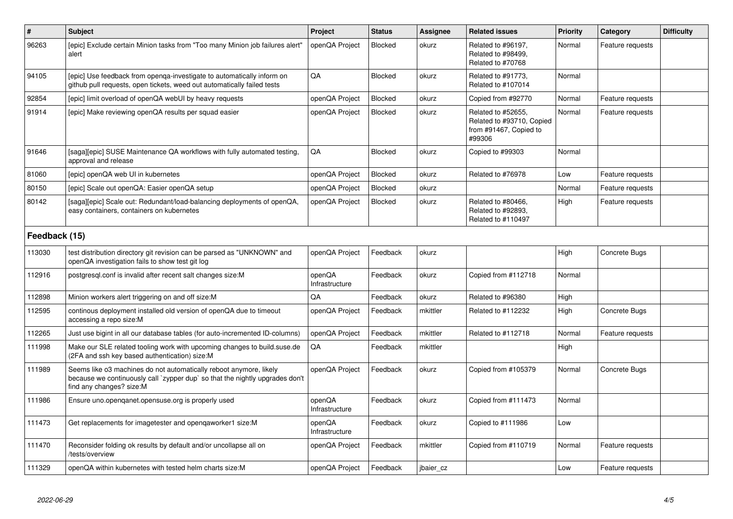| $\pmb{\#}$    | <b>Subject</b>                                                                                                                                                                 | Project                  | <b>Status</b>  | Assignee  | <b>Related issues</b>                                                               | <b>Priority</b> | Category         | <b>Difficulty</b> |
|---------------|--------------------------------------------------------------------------------------------------------------------------------------------------------------------------------|--------------------------|----------------|-----------|-------------------------------------------------------------------------------------|-----------------|------------------|-------------------|
| 96263         | [epic] Exclude certain Minion tasks from "Too many Minion job failures alert"<br>alert                                                                                         | openQA Project           | <b>Blocked</b> | okurz     | Related to #96197.<br>Related to #98499,<br>Related to #70768                       | Normal          | Feature requests |                   |
| 94105         | [epic] Use feedback from openga-investigate to automatically inform on<br>github pull requests, open tickets, weed out automatically failed tests                              | QA                       | <b>Blocked</b> | okurz     | Related to #91773,<br>Related to #107014                                            | Normal          |                  |                   |
| 92854         | [epic] limit overload of openQA webUI by heavy requests                                                                                                                        | openQA Project           | <b>Blocked</b> | okurz     | Copied from #92770                                                                  | Normal          | Feature requests |                   |
| 91914         | [epic] Make reviewing openQA results per squad easier                                                                                                                          | openQA Project           | Blocked        | okurz     | Related to #52655,<br>Related to #93710, Copied<br>from #91467, Copied to<br>#99306 | Normal          | Feature requests |                   |
| 91646         | [saga][epic] SUSE Maintenance QA workflows with fully automated testing,<br>approval and release                                                                               | QA                       | <b>Blocked</b> | okurz     | Copied to #99303                                                                    | Normal          |                  |                   |
| 81060         | [epic] openQA web UI in kubernetes                                                                                                                                             | openQA Project           | <b>Blocked</b> | okurz     | Related to #76978                                                                   | Low             | Feature requests |                   |
| 80150         | [epic] Scale out openQA: Easier openQA setup                                                                                                                                   | openQA Project           | <b>Blocked</b> | okurz     |                                                                                     | Normal          | Feature requests |                   |
| 80142         | [saga][epic] Scale out: Redundant/load-balancing deployments of openQA,<br>easy containers, containers on kubernetes                                                           | openQA Project           | Blocked        | okurz     | Related to #80466.<br>Related to #92893,<br>Related to #110497                      | High            | Feature requests |                   |
| Feedback (15) |                                                                                                                                                                                |                          |                |           |                                                                                     |                 |                  |                   |
| 113030        | test distribution directory git revision can be parsed as "UNKNOWN" and<br>openQA investigation fails to show test git log                                                     | openQA Project           | Feedback       | okurz     |                                                                                     | High            | Concrete Bugs    |                   |
| 112916        | postgresql.conf is invalid after recent salt changes size:M                                                                                                                    | openQA<br>Infrastructure | Feedback       | okurz     | Copied from #112718                                                                 | Normal          |                  |                   |
| 112898        | Minion workers alert triggering on and off size:M                                                                                                                              | QA                       | Feedback       | okurz     | Related to #96380                                                                   | High            |                  |                   |
| 112595        | continous deployment installed old version of openQA due to timeout<br>accessing a repo size:M                                                                                 | openQA Project           | Feedback       | mkittler  | Related to #112232                                                                  | High            | Concrete Bugs    |                   |
| 112265        | Just use bigint in all our database tables (for auto-incremented ID-columns)                                                                                                   | openQA Project           | Feedback       | mkittler  | Related to #112718                                                                  | Normal          | Feature requests |                   |
| 111998        | Make our SLE related tooling work with upcoming changes to build suse de<br>(2FA and ssh key based authentication) size:M                                                      | QA                       | Feedback       | mkittler  |                                                                                     | High            |                  |                   |
| 111989        | Seems like o3 machines do not automatically reboot anymore, likely<br>because we continuously call `zypper dup` so that the nightly upgrades don't<br>find any changes? size:M | openQA Project           | Feedback       | okurz     | Copied from #105379                                                                 | Normal          | Concrete Bugs    |                   |
| 111986        | Ensure uno.openqanet.opensuse.org is properly used                                                                                                                             | openQA<br>Infrastructure | Feedback       | okurz     | Copied from #111473                                                                 | Normal          |                  |                   |
| 111473        | Get replacements for imagetester and openqaworker1 size:M                                                                                                                      | openQA<br>Infrastructure | Feedback       | okurz     | Copied to #111986                                                                   | Low             |                  |                   |
| 111470        | Reconsider folding ok results by default and/or uncollapse all on<br>/tests/overview                                                                                           | openQA Project           | Feedback       | mkittler  | Copied from #110719                                                                 | Normal          | Feature requests |                   |
| 111329        | openQA within kubernetes with tested helm charts size:M                                                                                                                        | openQA Project           | Feedback       | jbaier_cz |                                                                                     | Low             | Feature requests |                   |